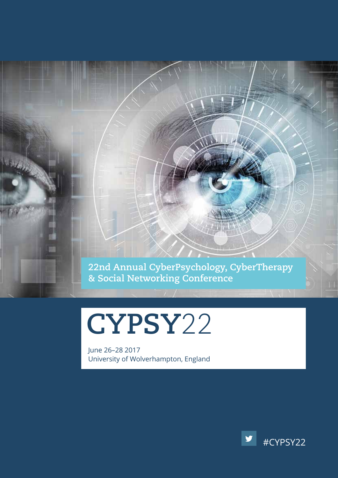**22nd Annual CyberPsychology, CyberTherapy & Social Networking Conference**

**CYPSY**22

June 26–28 2017 University of Wolverhampton, England

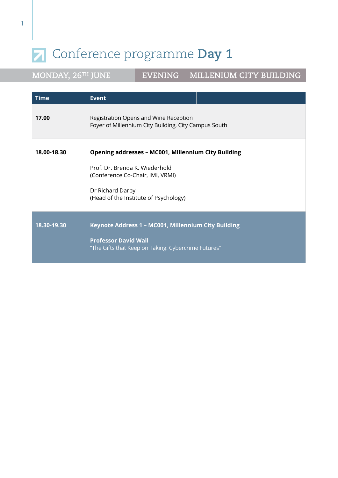**MONDAY, 26TH JUNE EVENING MILLENIUM CITY BUILDING**

| <b>Time</b> | <b>Event</b>                                                                                                                                                                                  |
|-------------|-----------------------------------------------------------------------------------------------------------------------------------------------------------------------------------------------|
| 17.00       | Registration Opens and Wine Reception<br>Foyer of Millennium City Building, City Campus South                                                                                                 |
| 18.00-18.30 | <b>Opening addresses - MC001, Millennium City Building</b><br>Prof. Dr. Brenda K. Wiederhold<br>(Conference Co-Chair, IMI, VRMI)<br>Dr Richard Darby<br>(Head of the Institute of Psychology) |
| 18.30-19.30 | Keynote Address 1 - MC001, Millennium City Building<br><b>Professor David Wall</b><br>"The Gifts that Keep on Taking: Cybercrime Futures"                                                     |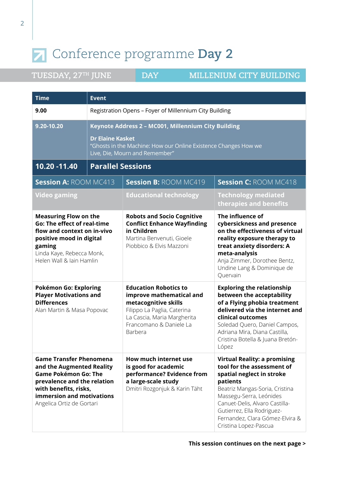| <b>Time</b>                                                                                                                                                                                                  | <b>Event</b> |                                                                                                                                                                                      |                                                                                                                                                                                                                                                                                                     |  |
|--------------------------------------------------------------------------------------------------------------------------------------------------------------------------------------------------------------|--------------|--------------------------------------------------------------------------------------------------------------------------------------------------------------------------------------|-----------------------------------------------------------------------------------------------------------------------------------------------------------------------------------------------------------------------------------------------------------------------------------------------------|--|
| 9.00                                                                                                                                                                                                         |              | Registration Opens - Foyer of Millennium City Building                                                                                                                               |                                                                                                                                                                                                                                                                                                     |  |
| 9.20-10.20                                                                                                                                                                                                   |              | Keynote Address 2 - MC001, Millennium City Building<br><b>Dr Elaine Kasket</b><br>"Ghosts in the Machine: How our Online Existence Changes How we<br>Live, Die, Mourn and Remember"  |                                                                                                                                                                                                                                                                                                     |  |
| $\overline{10.20}$ -11.40                                                                                                                                                                                    |              | <b>Parallel Sessions</b>                                                                                                                                                             |                                                                                                                                                                                                                                                                                                     |  |
| <b>Session A: ROOM MC413</b>                                                                                                                                                                                 |              | <b>Session B: ROOM MC419</b>                                                                                                                                                         | <b>Session C: ROOM MC418</b>                                                                                                                                                                                                                                                                        |  |
| <b>Video gaming</b>                                                                                                                                                                                          |              | <b>Educational technology</b>                                                                                                                                                        | <b>Technology mediated</b><br>therapies and benefits                                                                                                                                                                                                                                                |  |
| <b>Measuring Flow on the</b><br><b>Go: The effect of real-time</b><br>flow and context on in-vivo<br>positive mood in digital<br>gaming<br>Linda Kaye, Rebecca Monk,<br>Helen Wall & Iain Hamlin             |              | <b>Robots and Socio Cognitive</b><br><b>Conflict Enhance Wayfinding</b><br>in Children<br>Martina Benvenuti, Gioele<br>Piobbico & Elvis Mazzoni                                      | The influence of<br>cybersickness and presence<br>on the effectiveness of virtual<br>reality exposure therapy to<br>treat anxiety disorders: A<br>meta-analysis<br>Anja Zimmer, Dorothee Bentz,<br>Undine Lang & Dominique de<br>Quervain                                                           |  |
| Pokémon Go: Exploring<br><b>Player Motivations and</b><br><b>Differences</b><br>Alan Martin & Masa Popovac                                                                                                   |              | <b>Education Robotics to</b><br>improve mathematical and<br>metacognitive skills<br>Filippo La Paglia, Caterina<br>La Cascia, Maria Margherita<br>Francomano & Daniele La<br>Barbera | <b>Exploring the relationship</b><br>between the acceptability<br>of a Flying phobia treatment<br>delivered via the internet and<br>clinical outcomes<br>Soledad Quero, Daniel Campos,<br>Adriana Mira, Diana Castilla,<br>Cristina Botella & Juana Bretón-<br>López                                |  |
| <b>Game Transfer Phenomena</b><br>and the Augmented Reality<br><b>Game Pokémon Go: The</b><br>prevalence and the relation<br>with benefits, risks,<br>immersion and motivations<br>Angelica Ortiz de Gortari |              | How much internet use<br>is good for academic<br>performance? Evidence from<br>a large-scale study<br>Dmitri Rozgonjuk & Karin Täht                                                  | <b>Virtual Reality: a promising</b><br>tool for the assessment of<br>spatial neglect in stroke<br>patients<br>Beatriz Mangas-Soria, Cristina<br>Massegu-Serra, Leónides<br>Canuet-Delis, Alvaro Castilla-<br>Gutierrez, Ella Rodriguez-<br>Fernandez, Clara Gómez-Elvira &<br>Cristina Lopez-Pascua |  |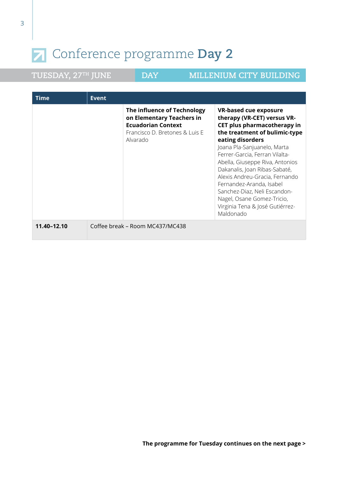| <b>Time</b> | <b>Event</b> |                                                                                                                                     |                                                                                                                                                                                                                                                                                                                                                                                                                                                                  |
|-------------|--------------|-------------------------------------------------------------------------------------------------------------------------------------|------------------------------------------------------------------------------------------------------------------------------------------------------------------------------------------------------------------------------------------------------------------------------------------------------------------------------------------------------------------------------------------------------------------------------------------------------------------|
|             |              | The influence of Technology<br>on Elementary Teachers in<br><b>Ecuadorian Context</b><br>Francisco D. Bretones & Luis E<br>Alvarado | <b>VR-based cue exposure</b><br>therapy (VR-CET) versus VR-<br>CET plus pharmacotherapy in<br>the treatment of bulimic-type<br>eating disorders<br>Joana Pla-Sanjuanelo, Marta<br>Ferrer-Garcia, Ferran Vilalta-<br>Abella, Giuseppe Riva, Antonios<br>Dakanalis, Joan Ribas-Sabaté,<br>Alexis Andreu-Gracia, Fernando<br>Fernandez-Aranda, Isabel<br>Sanchez-Diaz, Neli Escandon-<br>Nagel, Osane Gomez-Tricio,<br>Virginia Tena & José Gutiérrez-<br>Maldonado |
| 11.40-12.10 |              | Coffee break – Room MC437/MC438                                                                                                     |                                                                                                                                                                                                                                                                                                                                                                                                                                                                  |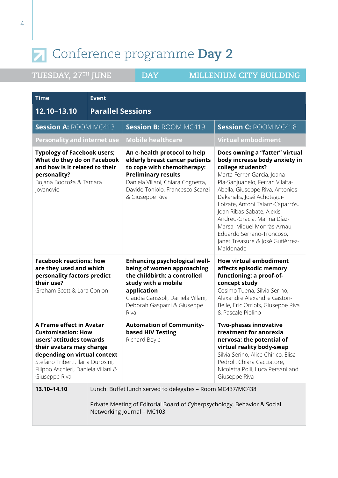| Time                                                                                                                                                                                                                                        | <b>Event</b>             |                                                                                                                                                                                                                        |                                                                                                                                                                                                                                                                                                                                                                                                                                     |
|---------------------------------------------------------------------------------------------------------------------------------------------------------------------------------------------------------------------------------------------|--------------------------|------------------------------------------------------------------------------------------------------------------------------------------------------------------------------------------------------------------------|-------------------------------------------------------------------------------------------------------------------------------------------------------------------------------------------------------------------------------------------------------------------------------------------------------------------------------------------------------------------------------------------------------------------------------------|
| 12.10-13.10                                                                                                                                                                                                                                 | <b>Parallel Sessions</b> |                                                                                                                                                                                                                        |                                                                                                                                                                                                                                                                                                                                                                                                                                     |
| <b>Session A: ROOM MC413</b>                                                                                                                                                                                                                |                          | <b>Session B: ROOM MC419</b>                                                                                                                                                                                           | <b>Session C: ROOM MC418</b>                                                                                                                                                                                                                                                                                                                                                                                                        |
| <b>Personality and internet use</b>                                                                                                                                                                                                         |                          | <b>Mobile healthcare</b>                                                                                                                                                                                               | <b>Virtual embodiment</b>                                                                                                                                                                                                                                                                                                                                                                                                           |
| <b>Typology of Facebook users;</b><br>What do they do on Facebook<br>and how is it related to their<br>personality?<br>Bojana Bodroža & Tamara<br>Jovanović                                                                                 |                          | An e-health protocol to help<br>elderly breast cancer patients<br>to cope with chemotherapy:<br><b>Preliminary results</b><br>Daniela Villani, Chiara Cognetta,<br>Davide Toniolo, Francesco Scanzi<br>& Giuseppe Riva | Does owning a "fatter" virtual<br>body increase body anxiety in<br>college students?<br>Marta Ferrer-Garcia, Joana<br>Pla-Sanjuanelo, Ferran Vilalta-<br>Abella, Giuseppe Riva, Antonios<br>Dakanalis, José Achotegui-<br>Loizate, Antoni Talarn-Caparrós,<br>Joan Ribas-Sabate, Alexis<br>Andreu-Gracia, Marina Díaz-<br>Marsa, Miquel Monràs-Arnau,<br>Eduardo Serrano-Troncoso,<br>Janet Treasure & José Gutiérrez-<br>Maldonado |
| <b>Facebook reactions: how</b><br>are they used and which<br>personality factors predict<br>their use?<br>Graham Scott & Lara Conlon                                                                                                        |                          | <b>Enhancing psychological well-</b><br>being of women approaching<br>the childbirth: a controlled<br>study with a mobile<br>application<br>Claudia Carissoli, Daniela Villani,<br>Deborah Gasparri & Giuseppe<br>Riva | <b>How virtual embodiment</b><br>affects episodic memory<br>functioning: a proof-of-<br>concept study<br>Cosimo Tuena, Silvia Serino,<br>Alexandre Alexandre Gaston-<br>Belle, Eric Orriols, Giuseppe Riva<br>& Pascale Piolino                                                                                                                                                                                                     |
| A Frame effect in Avatar<br><b>Customisation: How</b><br>users' attitudes towards<br>their avatars may change<br>depending on virtual context<br>Stefano Triberti, Ilaria Durosini,<br>Filippo Aschieri, Daniela Villani &<br>Giuseppe Riva |                          | <b>Automation of Community-</b><br>based HIV Testing<br>Richard Boyle                                                                                                                                                  | <b>Two-phases innovative</b><br>treatment for anorexia<br>nervosa: the potential of<br>virtual reality body-swap<br>Silvia Serino, Alice Chirico, Elisa<br>Pedroli, Chiara Cacciatore,<br>Nicoletta Polli, Luca Persani and<br>Giuseppe Riva                                                                                                                                                                                        |
| 13.10-14.10                                                                                                                                                                                                                                 |                          | Lunch: Buffet lunch served to delegates - Room MC437/MC438<br>Private Meeting of Editorial Board of Cyberpsychology, Behavior & Social<br>Networking Journal - MC103                                                   |                                                                                                                                                                                                                                                                                                                                                                                                                                     |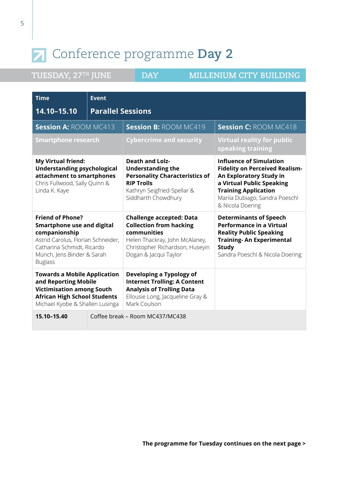| <b>Time</b>                                                                                                                                                                                       | <b>Event</b>             |                                                                                                                                                                                |                                                                                                                                                                                                                      |
|---------------------------------------------------------------------------------------------------------------------------------------------------------------------------------------------------|--------------------------|--------------------------------------------------------------------------------------------------------------------------------------------------------------------------------|----------------------------------------------------------------------------------------------------------------------------------------------------------------------------------------------------------------------|
| 14.10-15.10                                                                                                                                                                                       | <b>Parallel Sessions</b> |                                                                                                                                                                                |                                                                                                                                                                                                                      |
| <b>Session A: ROOM MC413</b>                                                                                                                                                                      |                          | <b>Session B: ROOM MC419</b>                                                                                                                                                   | <b>Session C: ROOM MC418</b>                                                                                                                                                                                         |
| <b>Smartphone research</b>                                                                                                                                                                        |                          | <b>Cybercrime and security</b>                                                                                                                                                 | <b>Virtual reality for public</b><br>speaking training                                                                                                                                                               |
| <b>My Virtual friend:</b><br><b>Understanding psychological</b><br>attachment to smartphones<br>Chris Fullwood, Sally Quinn &<br>Linda K. Kaye                                                    |                          | <b>Death and Lolz-</b><br><b>Understanding the</b><br><b>Personality Characteristics of</b><br><b>RIP Trolls</b><br>Kathryn Seigfried-Spellar &<br>Siddharth Chowdhury         | <b>Influence of Simulation</b><br><b>Fidelity on Perceived Realism-</b><br>An Exploratory Study in<br>a Virtual Public Speaking<br><b>Training Application</b><br>Mariia Dubiago, Sandra Poeschl<br>& Nicola Doering |
| <b>Friend of Phone?</b><br><b>Smartphone use and digital</b><br>companionship<br>Astrid Carolus, Florian Schneider,<br>Catharina Schmidt, Ricardo<br>Münch, Jens Binder & Sarah<br><b>Buglass</b> |                          | <b>Challenge accepted: Data</b><br><b>Collection from hacking</b><br>communities<br>Helen Thackray, John McAlaney,<br>Christopher Richardson, Huseyin<br>Dogan & Jacqui Taylor | <b>Determinants of Speech</b><br><b>Performance in a Virtual</b><br><b>Reality Public Speaking</b><br><b>Training- An Experimental</b><br><b>Study</b><br>Sandra Poeschl & Nicola Doering                            |
| <b>Towards a Mobile Application</b><br>and Reporting Mobile<br><b>Victimisation among South</b><br><b>African High School Students</b><br>Michael Kyobe & Shallen Lusinga                         |                          | Developing a Typology of<br><b>Internet Trolling: A Content</b><br><b>Analysis of Trolling Data</b><br>Ellousie Long, Jacqueline Gray &<br>Mark Coulson                        |                                                                                                                                                                                                                      |
| 15.10-15.40                                                                                                                                                                                       |                          | Coffee break – Room MC437/MC438                                                                                                                                                |                                                                                                                                                                                                                      |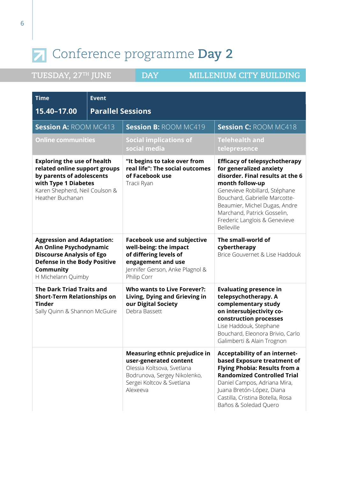| <b>Time</b>                                                                                                                                                                    | <b>Event</b> |                                                                                                                                                                |                                                                                                                                                                                                                                                                                                         |
|--------------------------------------------------------------------------------------------------------------------------------------------------------------------------------|--------------|----------------------------------------------------------------------------------------------------------------------------------------------------------------|---------------------------------------------------------------------------------------------------------------------------------------------------------------------------------------------------------------------------------------------------------------------------------------------------------|
| <b>Parallel Sessions</b><br>15.40-17.00                                                                                                                                        |              |                                                                                                                                                                |                                                                                                                                                                                                                                                                                                         |
| <b>Session A: ROOM MC413</b>                                                                                                                                                   |              | <b>Session B: ROOM MC419</b>                                                                                                                                   | <b>Session C: ROOM MC418</b>                                                                                                                                                                                                                                                                            |
| <b>Online communities</b>                                                                                                                                                      |              | <b>Social implications of</b><br>social media                                                                                                                  | <b>Telehealth and</b><br>telepresence                                                                                                                                                                                                                                                                   |
| <b>Exploring the use of health</b><br>related online support groups<br>by parents of adolescents<br>with Type 1 Diabetes<br>Karen Shepherd, Neil Coulson &<br>Heather Buchanan |              | "It begins to take over from<br>real life": The social outcomes<br>of Facebook use<br>Tracii Ryan                                                              | <b>Efficacy of telepsychotherapy</b><br>for generalized anxiety<br>disorder. Final results at the 6<br>month follow-up<br>Genevieve Robillard, Stéphane<br>Bouchard, Gabrielle Marcotte-<br>Beaumier, Michel Dugas, Andre<br>Marchand, Patrick Gosselin,<br>Frederic Langlois & Genevieve<br>Belleville |
| <b>Aggression and Adaptation:</b><br>An Online Psychodynamic<br><b>Discourse Analysis of Ego</b><br><b>Defense in the Body Positive</b><br>Community<br>H Michelann Quimby     |              | <b>Facebook use and subjective</b><br>well-being: the impact<br>of differing levels of<br>engagement and use<br>Jennifer Gerson, Anke Plagnol &<br>Philip Corr | The small-world of<br>cybertherapy<br>Brice Gouvernet & Lise Haddouk                                                                                                                                                                                                                                    |
| <b>The Dark Triad Traits and</b><br><b>Short-Term Relationships on</b><br><b>Tinder</b><br>Sally Quinn & Shannon McGuire                                                       |              | <b>Who wants to Live Forever?:</b><br>Living, Dying and Grieving in<br>our Digital Society<br>Debra Bassett                                                    | <b>Evaluating presence in</b><br>telepsychotherapy. A<br>complementary study<br>on intersubjectivity co-<br>construction processes<br>Lise Haddouk, Stephane<br>Bouchard, Eleonora Brivio, Carlo<br>Galimberti & Alain Trognon                                                                          |
|                                                                                                                                                                                |              | Measuring ethnic prejudice in<br>user-generated content<br>Olessia Koltsova, Svetlana<br>Bodrunova, Sergey Nikolenko,<br>Sergei Koltcov & Svetlana<br>Alexeeva | Acceptability of an internet-<br>based Exposure treatment of<br>Flying Phobia: Results from a<br><b>Randomized Controlled Trial</b><br>Daniel Campos, Adriana Mira,<br>Juana Bretón-López, Diana<br>Castilla, Cristina Botella, Rosa<br>Baños & Soledad Quero                                           |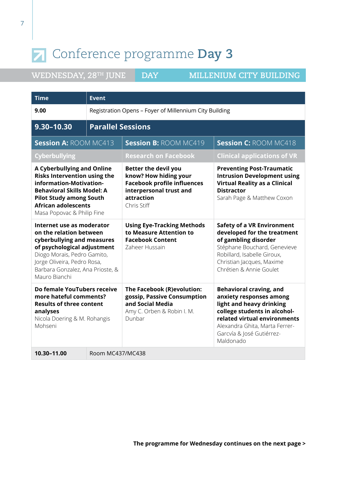| <b>Time</b>                                                                                                                                                                                                                            | <b>Event</b>             |                                                                                                                                                    |                                                                                                                                                                                                                                   |  |
|----------------------------------------------------------------------------------------------------------------------------------------------------------------------------------------------------------------------------------------|--------------------------|----------------------------------------------------------------------------------------------------------------------------------------------------|-----------------------------------------------------------------------------------------------------------------------------------------------------------------------------------------------------------------------------------|--|
| 9.00                                                                                                                                                                                                                                   |                          | Registration Opens - Foyer of Millennium City Building                                                                                             |                                                                                                                                                                                                                                   |  |
| 9.30-10.30                                                                                                                                                                                                                             | <b>Parallel Sessions</b> |                                                                                                                                                    |                                                                                                                                                                                                                                   |  |
| <b>Session A: ROOM MC413</b>                                                                                                                                                                                                           |                          | <b>Session B: ROOM MC419</b>                                                                                                                       | <b>Session C: ROOM MC418</b>                                                                                                                                                                                                      |  |
| <b>Cyberbullying</b>                                                                                                                                                                                                                   |                          | <b>Research on Facebook</b>                                                                                                                        | <b>Clinical applications of VR</b>                                                                                                                                                                                                |  |
| <b>A Cyberbullying and Online</b><br><b>Risks Intervention using the</b><br>information-Motivation-<br><b>Behavioral Skills Model: A</b><br><b>Pilot Study among South</b><br><b>African adolescents</b><br>Masa Popovac & Philip Fine |                          | <b>Better the devil you</b><br>know? How hiding your<br><b>Facebook profile influences</b><br>interpersonal trust and<br>attraction<br>Chris Stiff | <b>Preventing Post-Traumatic</b><br><b>Intrusion Development using</b><br><b>Virtual Reality as a Clinical</b><br><b>Distractor</b><br>Sarah Page & Matthew Coxon                                                                 |  |
| Internet use as moderator<br>on the relation between<br>cyberbullying and measures<br>of psychological adjustment<br>Diogo Morais, Pedro Gamito,<br>Jorge Oliveira, Pedro Rosa,<br>Barbara Gonzalez, Ana Prioste, &<br>Mauro Bianchi   |                          | <b>Using Eye-Tracking Methods</b><br>to Measure Attention to<br><b>Facebook Content</b><br>Zaheer Hussain                                          | <b>Safety of a VR Environment</b><br>developed for the treatment<br>of gambling disorder<br>Stéphane Bouchard, Genevieve<br>Robillard, Isabelle Giroux,<br>Christian Jacques, Maxime<br>Chrétien & Annie Goulet                   |  |
| Do female YouTubers receive<br>more hateful comments?<br><b>Results of three content</b><br>analyses<br>Nicola Doering & M. Rohangis<br>Mohseni                                                                                        |                          | The Facebook (R)evolution:<br>gossip, Passive Consumption<br>and Social Media<br>Amy C. Orben & Robin I. M.<br>Dunbar                              | <b>Behavioral craving, and</b><br>anxiety responses among<br>light and heavy drinking<br>college students in alcohol-<br>related virtual environments<br>Alexandra Ghita, Marta Ferrer-<br>Garcvía & José Gutiérrez-<br>Maldonado |  |
| 10.30-11.00                                                                                                                                                                                                                            | Room MC437/MC438         |                                                                                                                                                    |                                                                                                                                                                                                                                   |  |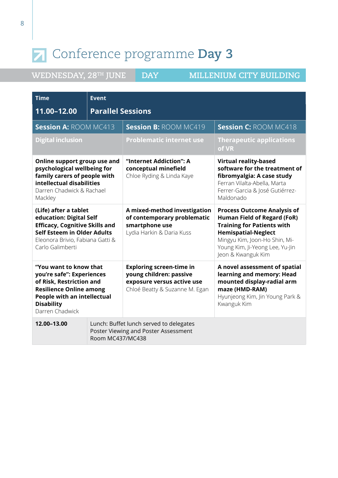| <b>Time</b>                                                                                                                                                                              | <b>Event</b>                                                                                        |                                                                                                                            |                                                                                                                                                                                                                                       |
|------------------------------------------------------------------------------------------------------------------------------------------------------------------------------------------|-----------------------------------------------------------------------------------------------------|----------------------------------------------------------------------------------------------------------------------------|---------------------------------------------------------------------------------------------------------------------------------------------------------------------------------------------------------------------------------------|
| 11.00-12.00                                                                                                                                                                              |                                                                                                     | <b>Parallel Sessions</b>                                                                                                   |                                                                                                                                                                                                                                       |
| <b>Session A: ROOM MC413</b>                                                                                                                                                             |                                                                                                     | <b>Session B: ROOM MC419</b>                                                                                               | <b>Session C: ROOM MC418</b>                                                                                                                                                                                                          |
| <b>Digital inclusion</b>                                                                                                                                                                 |                                                                                                     | <b>Problematic internet use</b>                                                                                            | <b>Therapeutic applications</b><br>of VR                                                                                                                                                                                              |
| Online support group use and<br>psychological wellbeing for<br>family carers of people with<br>intellectual disabilities<br>Darren Chadwick & Rachael<br>Mackley                         |                                                                                                     | "Internet Addiction": A<br>conceptual minefield<br>Chloe Ryding & Linda Kaye                                               | <b>Virtual reality-based</b><br>software for the treatment of<br>fibromyalgia: A case study<br>Ferran Vilalta-Abella, Marta<br>Ferrer-Garcia & José Gutiérrez-<br>Maldonado                                                           |
| (Life) after a tablet<br>education: Digital Self<br><b>Efficacy, Cognitive Skills and</b><br>Self Esteem in Older Adults<br>Eleonora Brivio, Fabiana Gatti &<br>Carlo Galimberti         |                                                                                                     | A mixed-method investigation<br>of contemporary problematic<br>smartphone use<br>Lydia Harkin & Daria Kuss                 | <b>Process Outcome Analysis of</b><br><b>Human Field of Regard (FoR)</b><br><b>Training for Patients with</b><br><b>Hemispatial-Neglect</b><br>Mingyu Kim, Joon-Ho Shin, Mi-<br>Young Kim, Ji-Yeong Lee, Yu-Jin<br>Jeon & Kwanguk Kim |
| "You want to know that<br>you're safe": Experiences<br>of Risk, Restriction and<br><b>Resilience Online among</b><br>People with an intellectual<br><b>Disability</b><br>Darren Chadwick |                                                                                                     | <b>Exploring screen-time in</b><br>young children: passive<br>exposure versus active use<br>Chloé Beatty & Suzanne M. Egan | A novel assessment of spatial<br>learning and memory: Head<br>mounted display-radial arm<br>maze (HMD-RAM)<br>Hyunjeong Kim, Jin Young Park &<br>Kwanguk Kim                                                                          |
| 12.00-13.00                                                                                                                                                                              | Lunch: Buffet lunch served to delegates<br>Poster Viewing and Poster Assessment<br>Room MC437/MC438 |                                                                                                                            |                                                                                                                                                                                                                                       |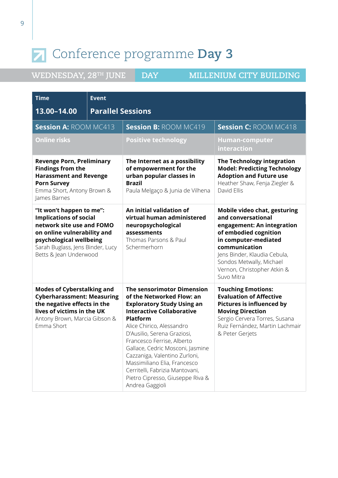| <b>Time</b>                                                                                                                                                                                                    | <b>Event</b>             |                                                                                                                                                                                                                                                                                                                                                                                                                                                     |                                                                                                                                                                                                                                                             |
|----------------------------------------------------------------------------------------------------------------------------------------------------------------------------------------------------------------|--------------------------|-----------------------------------------------------------------------------------------------------------------------------------------------------------------------------------------------------------------------------------------------------------------------------------------------------------------------------------------------------------------------------------------------------------------------------------------------------|-------------------------------------------------------------------------------------------------------------------------------------------------------------------------------------------------------------------------------------------------------------|
| 13.00-14.00                                                                                                                                                                                                    | <b>Parallel Sessions</b> |                                                                                                                                                                                                                                                                                                                                                                                                                                                     |                                                                                                                                                                                                                                                             |
| <b>Session A: ROOM MC413</b>                                                                                                                                                                                   |                          | <b>Session B: ROOM MC419</b>                                                                                                                                                                                                                                                                                                                                                                                                                        | <b>Session C: ROOM MC418</b>                                                                                                                                                                                                                                |
| <b>Online risks</b>                                                                                                                                                                                            |                          | <b>Positive technology</b>                                                                                                                                                                                                                                                                                                                                                                                                                          | <b>Human-computer</b><br>interaction                                                                                                                                                                                                                        |
| <b>Revenge Porn, Preliminary</b><br><b>Findings from the</b><br><b>Harassment and Revenge</b><br><b>Porn Survey</b><br>Emma Short, Antony Brown &<br>James Barnes                                              |                          | The Internet as a possibility<br>of empowerment for the<br>urban popular classes in<br><b>Brazil</b><br>Paula Melgaço & Junia de Vilhena                                                                                                                                                                                                                                                                                                            | The Technology integration<br><b>Model: Predicting Technology</b><br><b>Adoption and Future use</b><br>Heather Shaw, Fenja Ziegler &<br>David Ellis                                                                                                         |
| "It won't happen to me":<br><b>Implications of social</b><br>network site use and FOMO<br>on online vulnerability and<br>psychological wellbeing<br>Sarah Buglass, Jens Binder, Lucy<br>Betts & Jean Underwood |                          | An initial validation of<br>virtual human administered<br>neuropsychological<br>assessments<br>Thomas Parsons & Paul<br>Schermerhorn                                                                                                                                                                                                                                                                                                                | Mobile video chat, gesturing<br>and conversational<br>engagement: An integration<br>of embodied cognition<br>in computer-mediated<br>communication<br>Jens Binder, Klaudia Cebula,<br>Sondos Metwally, Michael<br>Vernon, Christopher Atkin &<br>Suvo Mitra |
| <b>Modes of Cyberstalking and</b><br><b>Cyberharassment: Measuring</b><br>the negative effects in the<br>lives of victims in the UK<br>Antony Brown, Marcia Gibson &<br>Emma Short                             |                          | <b>The sensorimotor Dimension</b><br>of the Networked Flow: an<br><b>Exploratory Study Using an</b><br><b>Interactive Collaborative</b><br><b>Platform</b><br>Alice Chirico, Alessandro<br>D'Ausilio, Serena Graziosi,<br>Francesco Ferrise, Alberto<br>Gallace, Cedric Mosconi, Jasmine<br>Cazzaniga, Valentino Zurloni,<br>Massimiliano Elia, Francesco<br>Cerritelli, Fabrizia Mantovani,<br>Pietro Cipresso, Giuseppe Riva &<br>Andrea Gaggioli | <b>Touching Emotions:</b><br><b>Evaluation of Affective</b><br><b>Pictures is influenced by</b><br><b>Moving Direction</b><br>Sergio Cervera Torres, Susana<br>Ruiz Fernández, Martin Lachmair<br>& Peter Gerjets                                           |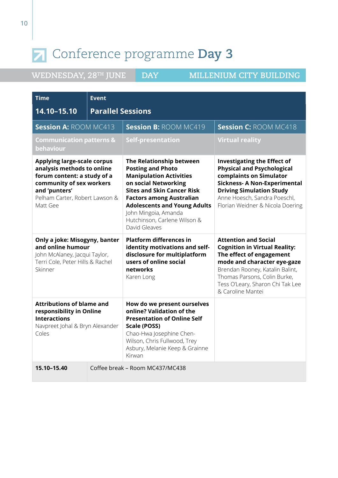| <b>Time</b>                                                                                                                                                                                | <b>Event</b>             |                                                                                                                                                                                                                                                                                                        |                                                                                                                                                                                                                                                            |
|--------------------------------------------------------------------------------------------------------------------------------------------------------------------------------------------|--------------------------|--------------------------------------------------------------------------------------------------------------------------------------------------------------------------------------------------------------------------------------------------------------------------------------------------------|------------------------------------------------------------------------------------------------------------------------------------------------------------------------------------------------------------------------------------------------------------|
| 14.10-15.10                                                                                                                                                                                | <b>Parallel Sessions</b> |                                                                                                                                                                                                                                                                                                        |                                                                                                                                                                                                                                                            |
| <b>Session A: ROOM MC413</b>                                                                                                                                                               |                          | <b>Session B: ROOM MC419</b>                                                                                                                                                                                                                                                                           | <b>Session C: ROOM MC418</b>                                                                                                                                                                                                                               |
| <b>Communication patterns &amp;</b><br>behaviour                                                                                                                                           |                          | <b>Self-presentation</b>                                                                                                                                                                                                                                                                               | <b>Virtual reality</b>                                                                                                                                                                                                                                     |
| <b>Applying large-scale corpus</b><br>analysis methods to online<br>forum content: a study of a<br>community of sex workers<br>and 'punters'<br>Pelham Carter, Robert Lawson &<br>Matt Gee |                          | The Relationship between<br><b>Posting and Photo</b><br><b>Manipulation Activities</b><br>on social Networking<br><b>Sites and Skin Cancer Risk</b><br><b>Factors among Australian</b><br><b>Adolescents and Young Adults</b><br>John Mingoia, Amanda<br>Hutchinson, Carlene Wilson &<br>David Gleaves | <b>Investigating the Effect of</b><br><b>Physical and Psychological</b><br>complaints on Simulator<br><b>Sickness- A Non-Experimental</b><br><b>Driving Simulation Study</b><br>Anne Hoesch, Sandra Poeschl,<br>Florian Weidner & Nicola Doering           |
| Only a joke: Misogyny, banter<br>and online humour<br>John McAlaney, Jacqui Taylor,<br>Terri Cole, Peter Hills & Rachel<br>Skinner                                                         |                          | <b>Platform differences in</b><br>identity motivations and self-<br>disclosure for multiplatform<br>users of online social<br>networks<br>Karen Long                                                                                                                                                   | <b>Attention and Social</b><br><b>Cognition in Virtual Reality:</b><br>The effect of engagement<br>mode and character eye-gaze<br>Brendan Rooney, Katalin Balint,<br>Thomas Parsons, Colin Burke,<br>Tess O'Leary, Sharon Chi Tak Lee<br>& Caroline Mantei |
| <b>Attributions of blame and</b><br>responsibility in Online<br><b>Interactions</b><br>Navpreet Johal & Bryn Alexander<br>Coles                                                            |                          | How do we present ourselves<br>online? Validation of the<br><b>Presentation of Online Self</b><br>Scale (POSS)<br>Chao-Hwa Josephine Chen-<br>Wilson, Chris Fullwood, Trey<br>Asbury, Melanie Keep & Grainne<br>Kirwan                                                                                 |                                                                                                                                                                                                                                                            |
| 15.10-15.40                                                                                                                                                                                |                          | Coffee break - Room MC437/MC438                                                                                                                                                                                                                                                                        |                                                                                                                                                                                                                                                            |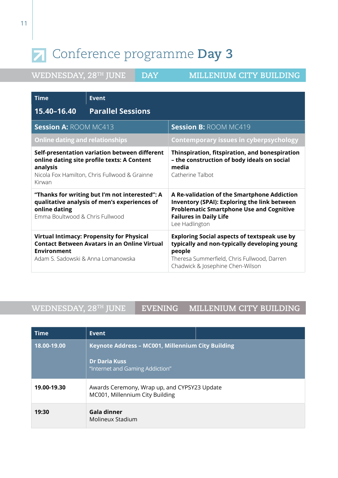| WEDNESDAY, 28TH JUNE |  |  |  |  |
|----------------------|--|--|--|--|
|----------------------|--|--|--|--|

**DAY MILLENIUM CITY BUILDING** 

| <b>Time</b>                                                                                                                                                         | <b>Event</b>                                                                                            |                                                                                                                                                                                                          |
|---------------------------------------------------------------------------------------------------------------------------------------------------------------------|---------------------------------------------------------------------------------------------------------|----------------------------------------------------------------------------------------------------------------------------------------------------------------------------------------------------------|
| 15.40-16.40                                                                                                                                                         | <b>Parallel Sessions</b>                                                                                |                                                                                                                                                                                                          |
| <b>Session A: ROOM MC413</b>                                                                                                                                        |                                                                                                         | <b>Session B: ROOM MC419</b>                                                                                                                                                                             |
| <b>Online dating and relationships</b>                                                                                                                              |                                                                                                         | <b>Contemporary issues in cyberpsychology</b>                                                                                                                                                            |
| Self-presentation variation between different<br>online dating site profile texts: A Content<br>analysis<br>Nicola Fox Hamilton, Chris Fullwood & Grainne<br>Kirwan |                                                                                                         | Thinspiration, fitspiration, and bonespiration<br>- the construction of body ideals on social<br>media<br>Catherine Talbot                                                                               |
| "Thanks for writing but I'm not interested": A<br>qualitative analysis of men's experiences of<br>online dating<br>Emma Boultwood & Chris Fullwood                  |                                                                                                         | A Re-validation of the Smartphone Addiction<br><b>Inventory (SPAI): Exploring the link between</b><br><b>Problematic Smartphone Use and Cognitive</b><br><b>Failures in Daily Life</b><br>Lee Hadlington |
| <b>Environment</b><br>Adam S. Sadowski & Anna Lomanowska                                                                                                            | <b>Virtual Intimacy: Propensity for Physical</b><br><b>Contact Between Avatars in an Online Virtual</b> | <b>Exploring Social aspects of textspeak use by</b><br>typically and non-typically developing young<br>people<br>Theresa Summerfield, Chris Fullwood, Darren<br>Chadwick & Josephine Chen-Wilson         |

### **WEDNESDAY, 28TH JUNE EVENING MILLENIUM CITY BUILDING**

| <b>Time</b> | Event                                                                                                        |  |
|-------------|--------------------------------------------------------------------------------------------------------------|--|
| 18.00-19.00 | Keynote Address - MC001, Millennium City Building<br><b>Dr Daria Kuss</b><br>"Internet and Gaming Addiction" |  |
| 19.00-19.30 | Awards Ceremony, Wrap up, and CYPSY23 Update<br>MC001, Millennium City Building                              |  |
| 19:30       | Gala dinner<br>Molineux Stadium                                                                              |  |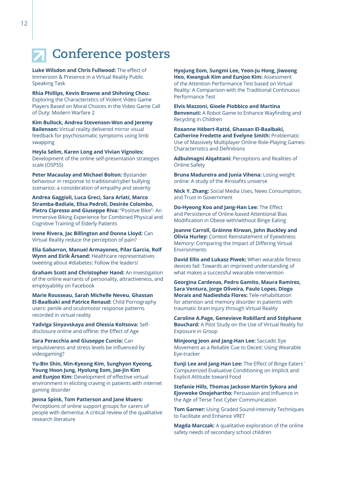### **Conference posters**

**Luke Wilsdon and Chris Fullwood:** The effect of Immersion & Presence in a Virtual Reality Public Speaking Task

**Rhia Phillips, Kevin Browne and Shihning Chou:**  Exploring the Characteristics of Violent Video Game Players Based on Moral Choices in the Video Game Call of Duty: Modern Warfare 2

**Kim Bullock, Andrea Stevenson-Won and Jeremy Bailenson:** Virtual reality delivered mirror visual feedback for psychosomatic symptoms using limb swapping

**Heyla Selim, Karen Long and Vivian Vignoles:**  Development of the online self-presentation strategies scale (OSPSS)

**Peter Macaulay and Michael Bolton:** Bystander behaviour in response to traditional/cyber bullying scenarios: a consideration of empathy and severity

**Andrea Gaggioli, Luca Greci, Sara Arlati, Marco Stramba-Badiale, Elisa Pedroli, Desirée Colombo,**  Pietro Cipresso and Giuseppe Riva: "Positive Bike"- An Immersive Biking Experience for Combined Physical and Cognitive Training of Elderly Patients

**Irene Rivera, Jac Billington and Donna Lloyd:** Can Virtual Reality reduce the perception of pain?

**Elia Gabarron, Manuel Armayones, Pilar Garcia, Rolf Wynn and Eirik Årsand:** Healthcare representatives tweeting about #diabetes: Follow the leaders!

**Graham Scott and Christopher Hand:** An investigation of the online warrants of personality, attractiveness, and employability on Facebook

**Marie Rousseau, Sarah Michelle Neveu, Ghassan El-Baalbaki and Patrice Renaud:** Child Pornography users: penile and oculomotor response patterns recorded in virtual reality

**Yadviga Sinyavskaya and Olessia Koltsova:** Selfdisclosure online and offline: the Effect of Age

**Sara Peracchia and Giuseppe Curcio:** Can impulsiveness and stress levels be influenced by videogaming?

**Yu-Bin Shin, Min-Kyeong Kim, Sunghyon Kyeong, Young Hoon Jung, Hyolung Eom, Jae-Jin Kim**  and **Eunjoo Kim:** Development of effective virtual environment in eliciting craving in patients with internet gaming disorder

**Jenna Spink, Tom Patterson and Jane Muers:**  Perceptions of online support groups for carers of people with dementia: A critical review of the qualitative research literature

**Hyojung Eom, Sungmi Lee, Yeon-Ju Hong, Jiwoong Heo, Kwanguk Kim and Eunjoo Kim: Assessment** of the Attention Performance Test based on Virtual Reality: A Comparison with the Traditional Continuous Performance Test

**Elvis Mazzoni, Gioele Piobbico and Martina Benvenuti:** A Robot Game to Enhance Wayfinding and Recycling in Children

**Roxanne Hébert-Ratté, Ghassan El-Baalbaki, Catherine Fredette and Evelyne Smith:** Problematic Use of Massively Multiplayer Online Role-Playing Games: Characteristics and Definitions

**Adbulmagni Alqahtani:** Perceptions and Realities of Online Safety

**Bruna Madureira and Junia Vihena:** Losing weight online: A study of the #instafits universe

**Nick Y. Zhang:** Social Media Uses, News Consumption, and Trust in Government

**Do-Hyeong Koo and Jang-Han Lee:** The Effect and Persistence of Online-based Attentional Bias Modification in Obese with/without Binge Eating

**Joanne Carroll, Gráinne Kirwan, John Buckley and Olivia Hurley:** Context Reinstatement of Eyewitness Memory: Comparing the Impact of Differing Virtual Environments

**David Ellis and Lukasz Piwek:** When wearable fitness devices fail: Towards an improved understanding of what makes a successful wearable intervention

**Georgina Cardenas, Pedro Gamito, Maura Ramirez, Sara Ventura, Jorge Oliveira, Paulo Lopes, Diogo Morais and Nadieshda Flores:** Tele-rehabilitation for attention and memory disorder in patients with traumatic brain injury through Virtual Reality

**Caroline A.Page, Genevieve Robillard and Stéphane Bouchard:** A Pilot Study on the Use of Virtual Reality for Exposure in Group

**Minjeong Jeon and Jang-Han Lee:** Saccadic Eye Movement as a Reliable Cue to Deceit: Using Wearable Eye-tracker

**Eunji Lee and Jang-Han Lee:** The Effect of Binge Eaters` Computerized Evaluative Conditioning on Implicit and Explicit Attitude toward Food

**Stefanie Hills, Thomas Jackson Martin Sykora and Ejovwoke Onojehartho:** Persuasion and Influence in the Age of Terse Text Cyber Communication

**Tom Garner:** Using Graded Sound-intensity Techniques to Facilitate and Enhance VRET

**Magda Marczak:** A qualitative exploration of the online safety needs of secondary school children